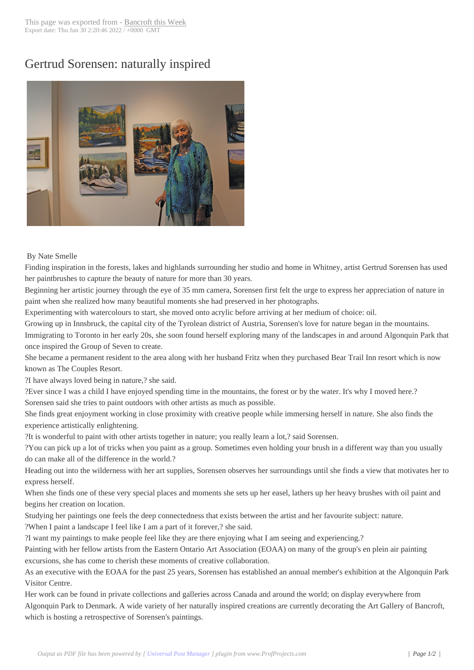## Gertrud Sorensen: [naturally insp](http://www.bancroftthisweek.com/?p=4890)ired



## By Nate Smelle

Finding inspiration in the forests, lakes and highlands surrounding her studio and home in Whitney, artist Gertrud Sorensen has used her paintbrushes to capture the beauty of nature for more than 30 years.

Beginning her artistic journey through the eye of 35 mm camera, Sorensen first felt the urge to express her appreciation of nature in paint when she realized how many beautiful moments she had preserved in her photographs.

Experimenting with watercolours to start, she moved onto acrylic before arriving at her medium of choice: oil.

Growing up in Innsbruck, the capital city of the Tyrolean district of Austria, Sorensen's love for nature began in the mountains.

Immigrating to Toronto in her early 20s, she soon found herself exploring many of the landscapes in and around Algonquin Park that once inspired the Group of Seven to create.

She became a permanent resident to the area along with her husband Fritz when they purchased Bear Trail Inn resort which is now known as The Couples Resort.

?I have always loved being in nature,? she said.

?Ever since I was a child I have enjoyed spending time in the mountains, the forest or by the water. It's why I moved here.? Sorensen said she tries to paint outdoors with other artists as much as possible.

She finds great enjoyment working in close proximity with creative people while immersing herself in nature. She also finds the experience artistically enlightening.

?It is wonderful to paint with other artists together in nature; you really learn a lot,? said Sorensen.

?You can pick up a lot of tricks when you paint as a group. Sometimes even holding your brush in a different way than you usually do can make all of the difference in the world.?

Heading out into the wilderness with her art supplies, Sorensen observes her surroundings until she finds a view that motivates her to express herself.

When she finds one of these very special places and moments she sets up her easel, lathers up her heavy brushes with oil paint and begins her creation on location.

Studying her paintings one feels the deep connectedness that exists between the artist and her favourite subject: nature.

?When I paint a landscape I feel like I am a part of it forever,? she said.

?I want my paintings to make people feel like they are there enjoying what I am seeing and experiencing.?

Painting with her fellow artists from the Eastern Ontario Art Association (EOAA) on many of the group's en plein air painting excursions, she has come to cherish these moments of creative collaboration.

As an executive with the EOAA for the past 25 years, Sorensen has established an annual member's exhibition at the Algonquin Park Visitor Centre.

Her work can be found in private collections and galleries across Canada and around the world; on display everywhere from Algonquin Park to Denmark. A wide variety of her naturally inspired creations are currently decorating the Art Gallery of Bancroft, which is hosting a retrospective of Sorensen's paintings.